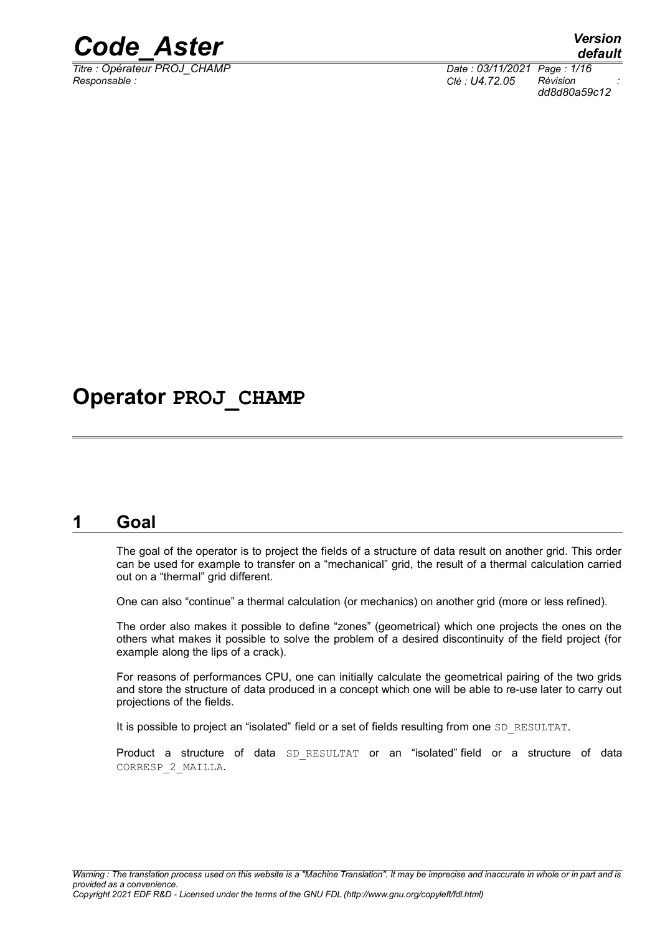

*Titre : Opérateur PROJ\_CHAMP Date : 03/11/2021 Page : 1/16 Responsable : Clé : U4.72.05 Révision :*

*dd8d80a59c12*

# **Operator PROJ\_CHAMP**

# **1 Goal**

<span id="page-0-0"></span>The goal of the operator is to project the fields of a structure of data result on another grid. This order can be used for example to transfer on a "mechanical" grid, the result of a thermal calculation carried out on a "thermal" grid different.

One can also "continue" a thermal calculation (or mechanics) on another grid (more or less refined).

The order also makes it possible to define "zones" (geometrical) which one projects the ones on the others what makes it possible to solve the problem of a desired discontinuity of the field project (for example along the lips of a crack).

For reasons of performances CPU, one can initially calculate the geometrical pairing of the two grids and store the structure of data produced in a concept which one will be able to re-use later to carry out projections of the fields.

It is possible to project an "isolated" field or a set of fields resulting from one SD\_RESULTAT.

Product a structure of data SD RESULTAT or an "isolated" field or a structure of data CORRESP\_2\_MAILLA.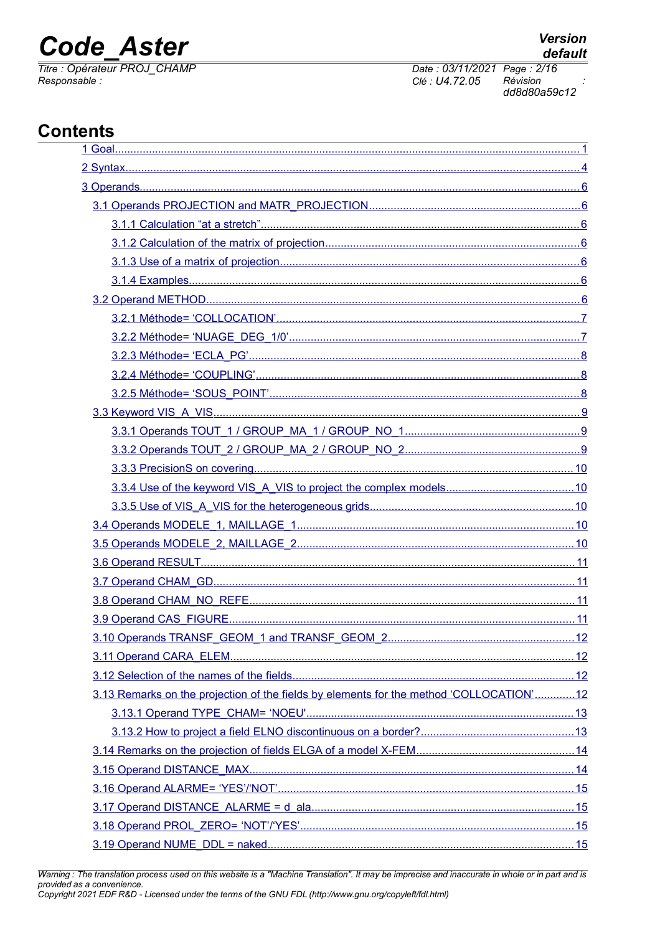# **Code Aster**

Titre : Opérateur PROJ CHAMP Responsable:

Date: 03/11/2021 Page: 2/16 Révision Clé : U4.72.05 dd8d80a59c12

# **Contents**

| 3.13 Remarks on the projection of the fields by elements for the method 'COLLOCATION'12 |  |
|-----------------------------------------------------------------------------------------|--|
|                                                                                         |  |
|                                                                                         |  |
|                                                                                         |  |
|                                                                                         |  |
|                                                                                         |  |
|                                                                                         |  |
|                                                                                         |  |
|                                                                                         |  |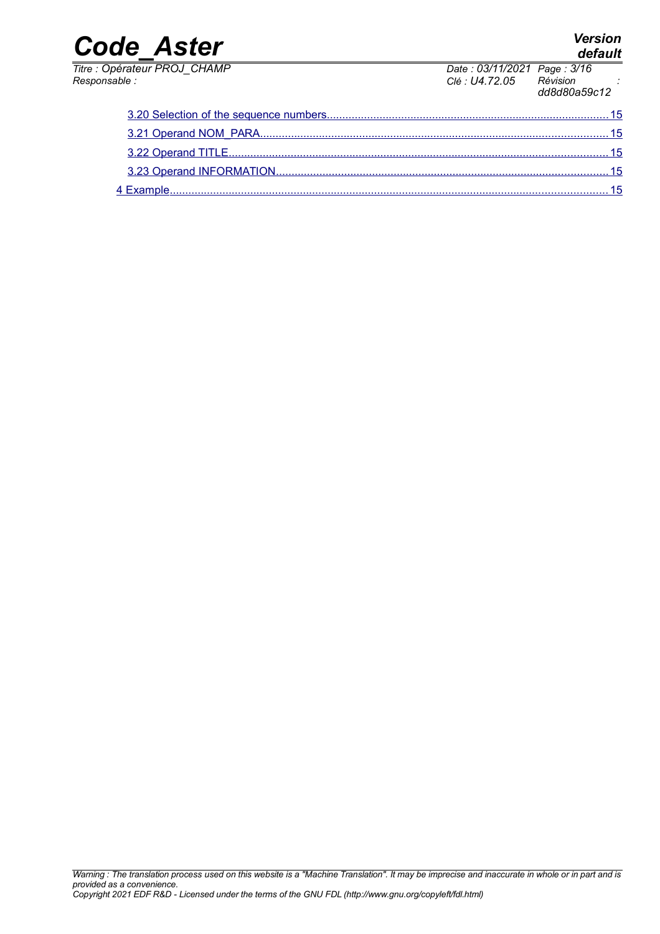# *default*

*Code\_Aster Version*

*Titre : Opérateur PROJ\_CHAMP Date : 03/11/2021 Page : 3/16 Responsable : Clé : U4.72.05 Révision : dd8d80a59c12*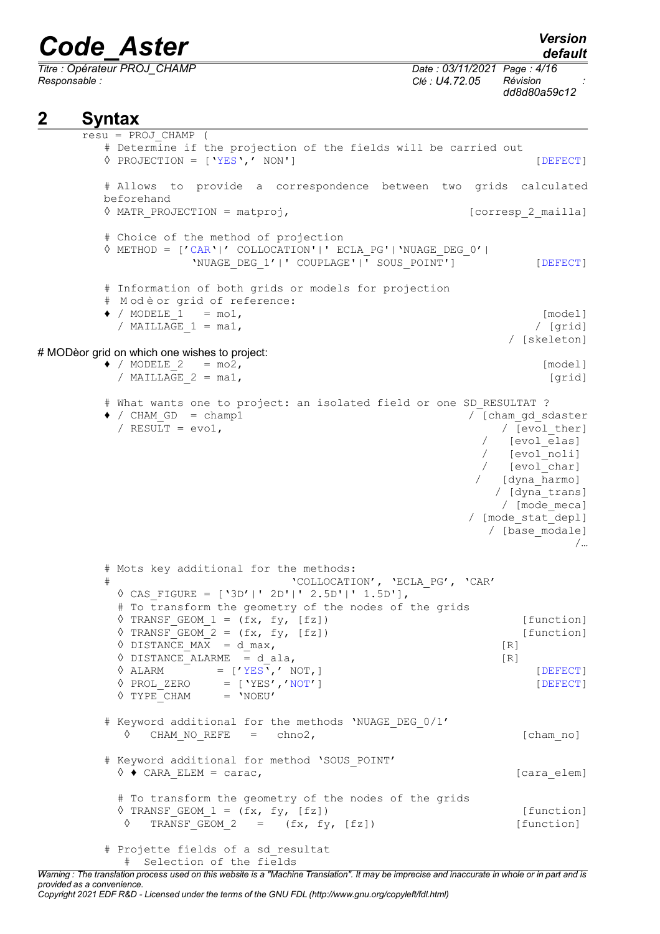*Titre : Opérateur PROJ\_CHAMP Date : 03/11/2021 Page : 4/16 Responsable : Clé : U4.72.05 Révision :*

*dd8d80a59c12*

# <span id="page-3-0"></span>**2 Syntax**

```
resu = PROJ_CHAMP (
       # Determine if the projection of the fields will be carried out
       ◊ PROJECTION = ['YES',' NON'] [DEFECT]
       # Allows to provide a correspondence between two grids calculated
       beforehand
       ◊ MATR_PROJECTION = matproj, [corresp_2_mailla]
       # Choice of the method of projection
       ◊ METHOD = ['CAR'|' COLLOCATION'|' ECLA_PG'|'NUAGE_DEG_0'|
                 'NUAGE DEG_1'|' COUPLAGE'|' SOUS POINT'] [DEFECT]
       # Information of both grids or models for projection
       # M od è or grid of reference:
       \bullet / MODELE 1 = mo1,
         / MAILLAGE 1 = ma1, / [grid]
                                                       / [skeleton]
# MODèor grid on which one wishes to project:
       \bullet / MODELE 2 = mo2,
         / MAILLAGE_2 = ma1, [grid]
       # What wants one to project: an isolated field or one SD RESULTAT ?
       \bullet / CHAM GD = champ1 / [cham_gd_sdaster
         / RESULT = evol, | [evol ther]
                                                    / [evol<sup>elas]</sup>
                                                   / [evol_noli]<br>/ [evol_char]
                                                    / [evol_char]
                                                   / [dyna_harmo]
                                                     / [dyna_trans]
                                                     / [mode meca]
                                                  / [mode_stat_depl]
                                                    / [base_modale]
                                                              /…
       # Mots key additional for the methods:
       # 'COLLOCATION', 'ECLA_PG', 'CAR'
         ◊ CAS_FIGURE = ['3D'|' 2D'|' 2.5D'|' 1.5D'],
         # To transform the geometry of the nodes of the grids
         \Diamond TRANSF GEOM 1 = (fx, fy, [fz]) [function]
         \sqrt{TRANSF} GEOM 2 = (fx, fy, [fz]) [function]
         \sqrt{P} DISTANCE MAX = d max, [R]
         \sqrt{P} DISTANCE ALARME = d ala, [R]
         \Diamond ALARM = ['YES',' NOT,] [DEFECT]
         \Diamond PROL ZERO = ['YES','NOT'] [DEFECT]
         V Prol_4Hive V Prol_4Hive V# Keyword additional for the methods 'NUAGE DEG 0/1'
          \Diamond CHAM_NO_REFE = chno2, [cham_no]
       # Keyword additional for method 'SOUS_POINT'
         \Diamond \blacklozenge CARA ELEM = carac, \Diamond (cara elem)
         # To transform the geometry of the nodes of the grids
         \Diamond TRANSF GEOM 1 = (fx, fy, [fz]) [function]
          \Diamond TRANSF GEOM 2 = (fx, fy, [fz]) [function]
       # Projette fields of a sd_resultat
          # Selection of the fields
```
*Warning : The translation process used on this website is a "Machine Translation". It may be imprecise and inaccurate in whole or in part and is provided as a convenience. Copyright 2021 EDF R&D - Licensed under the terms of the GNU FDL (http://www.gnu.org/copyleft/fdl.html)*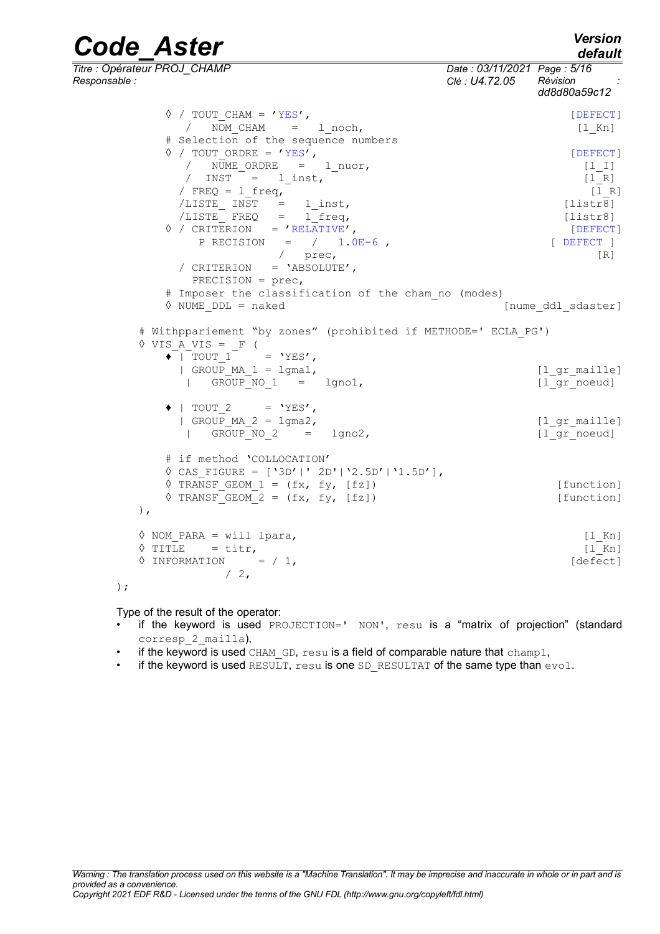*default*

*Code\_Aster Version Titre : Opérateur PROJ\_CHAMP Date : 03/11/2021 Page : 5/16 Responsable : Clé : U4.72.05 Révision : dd8d80a59c12*  $\Diamond$  / TOUT CHAM = 'YES', / NOM\_CHAM = l\_noch, [l\_Kn] # Selection of the sequence numbers  $\Diamond$  / TOUT ORDRE = 'YES', / NUME\_ORDRE = 1\_nuor, [1\_I]<br>/ INST = 1 inst, [1 R] / INST = l\_inst, [l\_R] / FREQ =  $l$  freq, /LISTE INST = l inst, [listr8] /LISTE\_ FREQ = l\_freq, [listr8] ◊ / CRITERION = 'RELATIVE', [DEFECT]  $P$  RECISION = / 1.0E-6, [ DEFECT ] / prec, [R] / CRITERION = 'ABSOLUTE', PRECISION = prec, # Imposer the classification of the cham\_no (modes) [nume ddl sdaster] # Withppariement "by zones" (prohibited if METHODE=' ECLA\_PG') ◊ VIS\_A\_VIS = \_F (  $\blacklozenge$  | TOUT 1 = 'YES',  $|$  GROUP MA 1 = lgma1,  $[$ l grmaille] | GROUP NO 1 = lgno1, [lgr noeud]  $\bullet$  | TOUT 2 = 'YES',  $|$  GROUP MA  $2 = 1$ gma $2$ ,  $[1 \text{ gr maille}]$  $\overline{a}$  GROUP NO 2 = lgno2,  $\overline{a}$  [l\_gr\_noeud] # if method 'COLLOCATION' ◊ CAS\_FIGURE = ['3D'|' 2D'|'2.5D'|'1.5D'],  $\sqrt[6]{}$  TRANSF GEOM 1 = (fx, fy, [fz]) [function]  $\sqrt{TRANSF}$  GEOM 2 = (fx, fy, [fz]) [function] ), ◊ NOM\_PARA = will lpara, [l\_Kn]  $\sqrt{1 - Kn}$  = titr,  $[1 - Kn]$  $\sqrt{1}$  INFORMATION =  $/ 1$ , [defect]  $/2$ ,

```
);
```
Type of the result of the operator:

- if the keyword is used PROJECTION=' NON', resu is a "matrix of projection" (standard corresp\_2\_mailla),
- if the keyword is used CHAM GD,  $resu$  is a field of comparable nature that champ1,
- if the keyword is used RESULT,  $resu$  is one SD\_RESULTAT of the same type than  $evo1$ .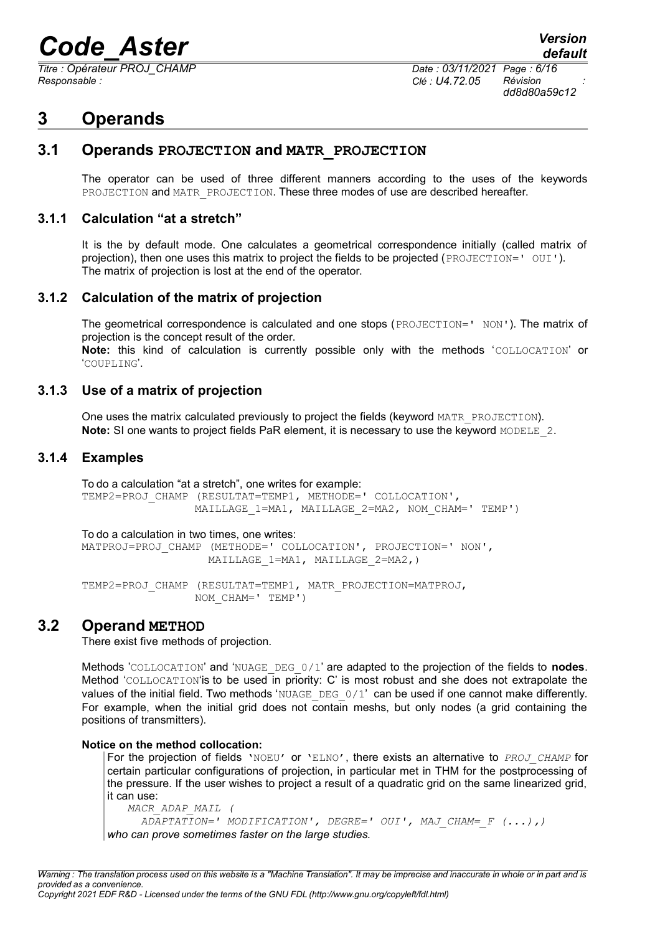*Titre : Opérateur PROJ\_CHAMP Date : 03/11/2021 Page : 6/16 Responsable : Clé : U4.72.05 Révision :*

# <span id="page-5-6"></span>**3 Operands**

# **3.1 Operands PROJECTION and MATR\_PROJECTION**

<span id="page-5-5"></span>The operator can be used of three different manners according to the uses of the keywords PROJECTION and MATR\_PROJECTION. These three modes of use are described hereafter.

## **3.1.1 Calculation "at a stretch"**

<span id="page-5-4"></span>It is the by default mode. One calculates a geometrical correspondence initially (called matrix of projection), then one uses this matrix to project the fields to be projected (PROJECTION=' OUI'). The matrix of projection is lost at the end of the operator.

## **3.1.2 Calculation of the matrix of projection**

<span id="page-5-3"></span>The geometrical correspondence is calculated and one stops (PROJECTION=' NON'). The matrix of projection is the concept result of the order.

**Note:** this kind of calculation is currently possible only with the methods 'COLLOCATION' or 'COUPLING'.

## **3.1.3 Use of a matrix of projection**

<span id="page-5-2"></span>One uses the matrix calculated previously to project the fields (keyword MATR\_PROJECTION). **Note:** SI one wants to project fields PaR element, it is necessary to use the keyword MODELE 2.

## **3.1.4 Examples**

<span id="page-5-1"></span>To do a calculation "at a stretch", one writes for example: TEMP2=PROJ\_CHAMP (RESULTAT=TEMP1, METHODE=' COLLOCATION', MAILLAGE\_1=MA1, MAILLAGE\_2=MA2, NOM\_CHAM=' TEMP')

To do a calculation in two times, one writes: MATPROJ=PROJ\_CHAMP (METHODE=' COLLOCATION', PROJECTION=' NON', MAILLAGE 1=MA1, MAILLAGE 2=MA2,)

TEMP2=PROJ\_CHAMP (RESULTAT=TEMP1, MATR\_PROJECTION=MATPROJ, NOM\_CHAM=' TEMP')

# **3.2 Operand METHOD**

<span id="page-5-0"></span>There exist five methods of projection.

Methods 'COLLOCATION' and 'NUAGE\_DEG\_0/1' are adapted to the projection of the fields to **nodes**. Method 'COLLOCATION'is to be used in priority: C' is most robust and she does not extrapolate the values of the initial field. Two methods 'NUAGE DEG 0/1' can be used if one cannot make differently. For example, when the initial grid does not contain meshs, but only nodes (a grid containing the positions of transmitters).

#### **Notice on the method collocation:**

For the projection of fields 'NOEU' or 'ELNO', there exists an alternative to *PROJ\_CHAMP* for certain particular configurations of projection, in particular met in THM for the postprocessing of the pressure. If the user wishes to project a result of a quadratic grid on the same linearized grid, it can use:

```
 MACR_ADAP_MAIL (
      ADAPTATION=' MODIFICATION', DEGRE=' OUI', MAJ_CHAM=_F (...),)
who can prove sometimes faster on the large studies.
```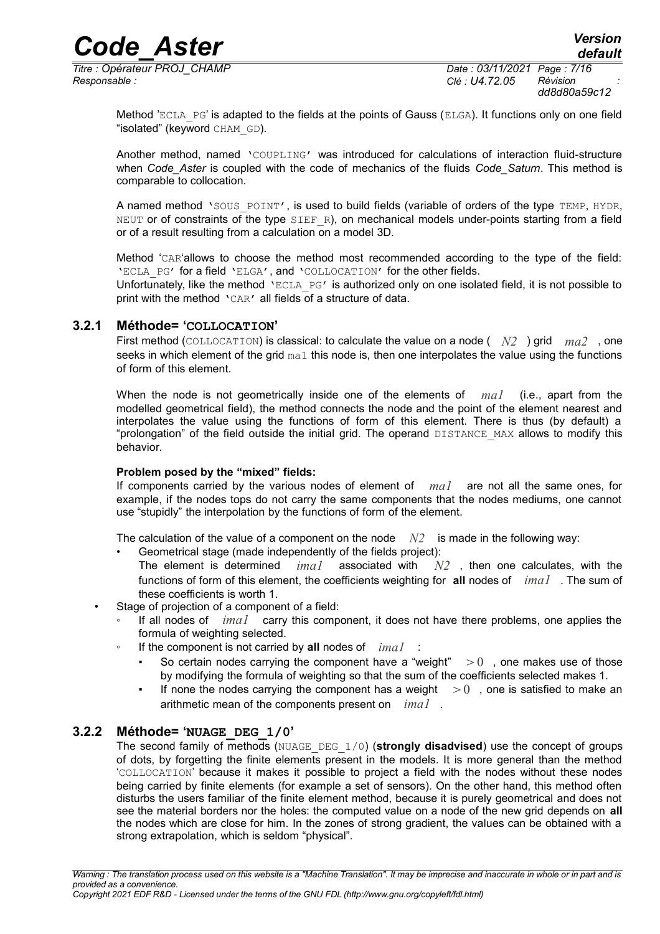*Titre : Opérateur PROJ\_CHAMP Date : 03/11/2021 Page : 7/16 Responsable : Clé : U4.72.05 Révision :*

Method 'ECLA PG' is adapted to the fields at the points of Gauss (ELGA). It functions only on one field "isolated" (keyword CHAM GD).

Another method, named 'COUPLING' was introduced for calculations of interaction fluid-structure when *Code\_Aster* is coupled with the code of mechanics of the fluids *Code\_Saturn*. This method is comparable to collocation.

A named method 'SOUS POINT', is used to build fields (variable of orders of the type TEMP, HYDR, NEUT or of constraints of the type SIEF R), on mechanical models under-points starting from a field or of a result resulting from a calculation on a model 3D.

Method 'CAR'allows to choose the method most recommended according to the type of the field: 'ECLA\_PG' for a field 'ELGA', and 'COLLOCATION' for the other fields.

Unfortunately, like the method 'ECLA PG' is authorized only on one isolated field, it is not possible to print with the method  $\text{CAR'}$  all fields of a structure of data.

#### **3.2.1 Méthode= 'COLLOCATION'**

<span id="page-6-1"></span>First method (COLLOCATION) is classical: to calculate the value on a node ( *N2* ) grid *ma2* , one seeks in which element of the grid  $_{\text{ma1}}$  this node is, then one interpolates the value using the functions of form of this element.

When the node is not geometrically inside one of the elements of *ma1* (i.e., apart from the modelled geometrical field), the method connects the node and the point of the element nearest and interpolates the value using the functions of form of this element. There is thus (by default) a "prolongation" of the field outside the initial grid. The operand DISTANCE MAX allows to modify this behavior.

#### **Problem posed by the "mixed" fields:**

If components carried by the various nodes of element of *ma1* are not all the same ones, for example, if the nodes tops do not carry the same components that the nodes mediums, one cannot use "stupidly" the interpolation by the functions of form of the element.

The calculation of the value of a component on the node  $N2$  is made in the following way:

• Geometrical stage (made independently of the fields project):

The element is determined *ima1* associated with *N2* , then one calculates, with the functions of form of this element, the coefficients weighting for **all** nodes of *ima1* . The sum of these coefficients is worth 1.

- Stage of projection of a component of a field:
	- If all nodes of *ima1* carry this component, it does not have there problems, one applies the formula of weighting selected.
	- If the component is not carried by all nodes of *imal* 
		- So certain nodes carrying the component have a "weight"  $\geq 0$  , one makes use of those by modifying the formula of weighting so that the sum of the coefficients selected makes 1.
		- If none the nodes carrying the component has a weight  $\geq 0$ , one is satisfied to make an arithmetic mean of the components present on *ima1* .

#### **3.2.2 Méthode= 'NUAGE\_DEG\_1/0'**

<span id="page-6-0"></span>The second family of methods (NUAGE\_DEG\_1/0) (**strongly disadvised**) use the concept of groups of dots, by forgetting the finite elements present in the models. It is more general than the method 'COLLOCATION' because it makes it possible to project a field with the nodes without these nodes being carried by finite elements (for example a set of sensors). On the other hand, this method often disturbs the users familiar of the finite element method, because it is purely geometrical and does not see the material borders nor the holes: the computed value on a node of the new grid depends on **all** the nodes which are close for him. In the zones of strong gradient, the values can be obtained with a strong extrapolation, which is seldom "physical".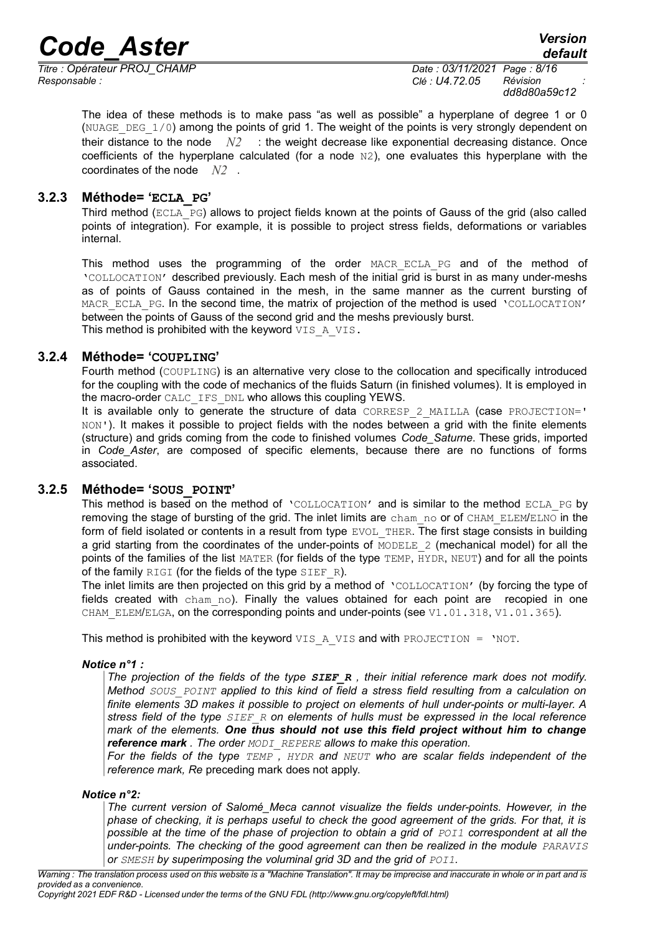# *Code\_Aster Version*<br>*Code\_Aster Version*<br>*Conérateur PROJ CHAMP Code Conérateur PROJ CHAMP*

*Titre : Opérateur PROJ\_CHAMP Date : 03/11/2021 Page : 8/16 Responsable : Clé : U4.72.05 Révision :*

*dd8d80a59c12*

The idea of these methods is to make pass "as well as possible" a hyperplane of degree 1 or 0 (NUAGE DEG  $1/0$ ) among the points of grid 1. The weight of the points is very strongly dependent on their distance to the node *N2* : the weight decrease like exponential decreasing distance. Once coefficients of the hyperplane calculated (for a node  $N(2)$ , one evaluates this hyperplane with the coordinates of the node *N2* .

# **3.2.3 Méthode= 'ECLA\_PG'**

<span id="page-7-2"></span>Third method (ECLA\_PG) allows to project fields known at the points of Gauss of the grid (also called points of integration). For example, it is possible to project stress fields, deformations or variables internal.

This method uses the programming of the order MACR\_ECLA\_PG and of the method of 'COLLOCATION' described previously. Each mesh of the initial grid is burst in as many under-meshs as of points of Gauss contained in the mesh, in the same manner as the current bursting of MACR ECLA PG. In the second time, the matrix of projection of the method is used 'COLLOCATION' between the points of Gauss of the second grid and the meshs previously burst. This method is prohibited with the keyword VIS A VIS.

## **3.2.4 Méthode= 'COUPLING'**

<span id="page-7-1"></span>Fourth method (COUPLING) is an alternative very close to the collocation and specifically introduced for the coupling with the code of mechanics of the fluids Saturn (in finished volumes). It is employed in the macro-order CALC\_IFS\_DNL who allows this coupling YEWS.

It is available only to generate the structure of data CORRESP 2 MAILLA (case PROJECTION=' NON'). It makes it possible to project fields with the nodes between a grid with the finite elements (structure) and grids coming from the code to finished volumes *Code\_Saturne*. These grids, imported in *Code\_Aster*, are composed of specific elements, because there are no functions of forms associated.

## **3.2.5 Méthode= 'SOUS\_POINT'**

<span id="page-7-0"></span>This method is based on the method of 'COLLOCATION' and is similar to the method ECLA\_PG by removing the stage of bursting of the grid. The inlet limits are cham no or of CHAM ELEM/ELNO in the form of field isolated or contents in a result from type EVOL THER. The first stage consists in building a grid starting from the coordinates of the under-points of MODELE 2 (mechanical model) for all the points of the families of the list MATER (for fields of the type TEMP, HYDR, NEUT) and for all the points of the family RIGI (for the fields of the type SIEF R).

The inlet limits are then projected on this grid by a method of 'COLLOCATION' (by forcing the type of fields created with  $chamno$ ). Finally the values obtained for each point are recopied in one CHAM\_ELEM/ELGA, on the corresponding points and under-points (see V1.01.318, V1.01.365).

This method is prohibited with the keyword VIS\_A\_VIS and with PROJECTION =  $'NOT$ .

## *Notice n°1 :*

*The projection of the fields of the type SIEF\_R , their initial reference mark does not modify. Method SOUS\_POINT applied to this kind of field a stress field resulting from a calculation on finite elements 3D makes it possible to project on elements of hull under-points or multi-layer. A stress field of the type SIEF\_R on elements of hulls must be expressed in the local reference mark of the elements. One thus should not use this field project without him to change reference mark . The order MODI\_REPERE allows to make this operation.*

*For the fields of the type TEMP , HYDR and NEUT who are scalar fields independent of the reference mark, Re* preceding mark does not apply.

#### *Notice n°2:*

*The current version of Salomé\_Meca cannot visualize the fields under-points. However, in the phase of checking, it is perhaps useful to check the good agreement of the grids. For that, it is possible at the time of the phase of projection to obtain a grid of POI1 correspondent at all the under-points. The checking of the good agreement can then be realized in the module PARAVIS or SMESH by superimposing the voluminal grid 3D and the grid of POI1.*

*Copyright 2021 EDF R&D - Licensed under the terms of the GNU FDL (http://www.gnu.org/copyleft/fdl.html)*

*Warning : The translation process used on this website is a "Machine Translation". It may be imprecise and inaccurate in whole or in part and is provided as a convenience.*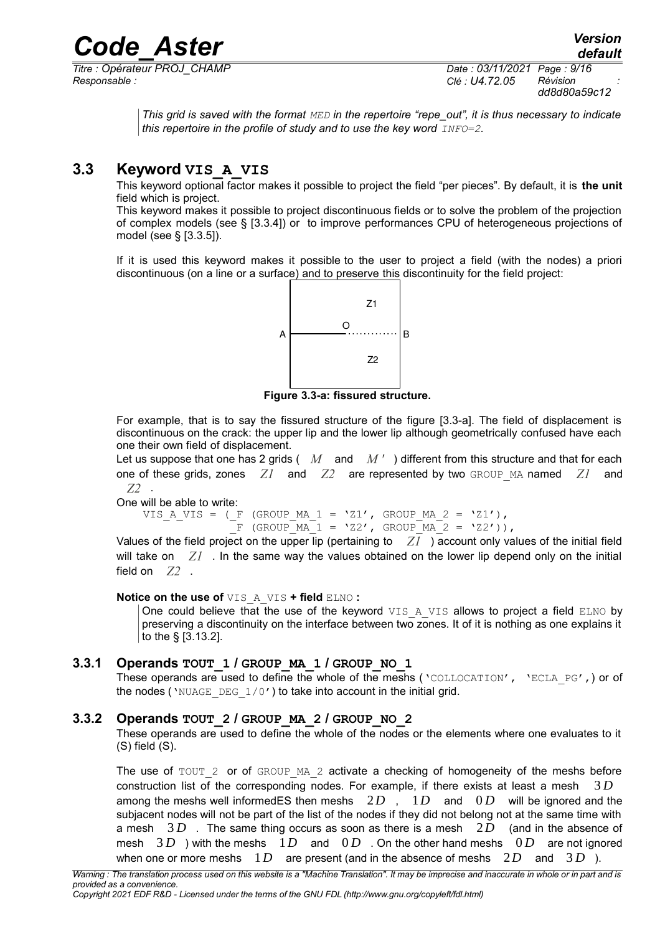*Titre : Opérateur PROJ\_CHAMP Date : 03/11/2021 Page : 9/16 Responsable : Clé : U4.72.05 Révision :*

*dd8d80a59c12*

*This grid is saved with the format MED in the repertoire "repe\_out", it is thus necessary to indicate this repertoire in the profile of study and to use the key word*  $INFO=2$ *.* 

# **3.3 Keyword VIS\_A\_VIS**

<span id="page-8-2"></span>This keyword optional factor makes it possible to project the field "per pieces". By default, it is **the unit** field which is project.

This keyword makes it possible to project discontinuous fields or to solve the problem of the projection of complex models (see § [\[3.3.4\]](#page-9-3)) or to improve performances CPU of heterogeneous projections of model (see § [\[3.3.5\]](#page-9-2)).

If it is used this keyword makes it possible to the user to project a field (with the nodes) a priori discontinuous (on a line or a surface) and to preserve this discontinuity for the field project:



**Figure 3.3-a: fissured structure.**

For example, that is to say the fissured structure of the figure [3.3-a]. The field of displacement is discontinuous on the crack: the upper lip and the lower lip although geometrically confused have each one their own field of displacement.

Let us suppose that one has 2 grids ( *M* and *M '* ) different from this structure and that for each one of these grids, zones *Z1* and *Z2* are represented by two GROUP\_MA named *Z1* and *Z2* .

One will be able to write:

VIS A VIS = ( F (GROUP MA  $1 = 'Z1'$ , GROUP MA  $2 = 'Z1')$ ,  $\overline{F}$  (GROUP MA 1 = 'Z2', GROUP MA 2 = 'Z2')),

Values of the field project on the upper lip (pertaining to *Z1* ) account only values of the initial field will take on *Z1* . In the same way the values obtained on the lower lip depend only on the initial field on  $Z2$ .

#### **Notice on the use of** VIS\_A\_VIS **+ field** ELNO **:**

One could believe that the use of the keyword VIS A VIS allows to project a field ELNO by preserving a discontinuity on the interface between two zones. It of it is nothing as one explains it to the § [\[3.13.2\]](#page-12-0).

## **3.3.1 Operands TOUT\_1 / GROUP\_MA\_1 / GROUP\_NO\_1**

<span id="page-8-1"></span>These operands are used to define the whole of the meshs ( $\text{VCOLLOCATION}$ ,  $\text{VELL}PG$ ,) or of the nodes ('NUAGE DEG  $1/0'$ ) to take into account in the initial grid.

## **3.3.2 Operands TOUT\_2 / GROUP\_MA\_2 / GROUP\_NO\_2**

<span id="page-8-0"></span>These operands are used to define the whole of the nodes or the elements where one evaluates to it (S) field (S).

The use of  $TOUT_2$  or of GROUP MA  $2$  activate a checking of homogeneity of the meshs before construction list of the corresponding nodes. For example, if there exists at least a mesh 3 *D* among the meshs well informedES then meshs 2*D* , 1*D* and 0 *D* will be ignored and the subjacent nodes will not be part of the list of the nodes if they did not belong not at the same time with a mesh 3 *D* . The same thing occurs as soon as there is a mesh 2*D* (and in the absence of mesh  $3D$  ) with the meshs  $1D$  and  $0D$  . On the other hand meshs  $0D$  are not ignored when one or more meshs  $1D$  are present (and in the absence of meshs  $2D$  and  $3D$ ).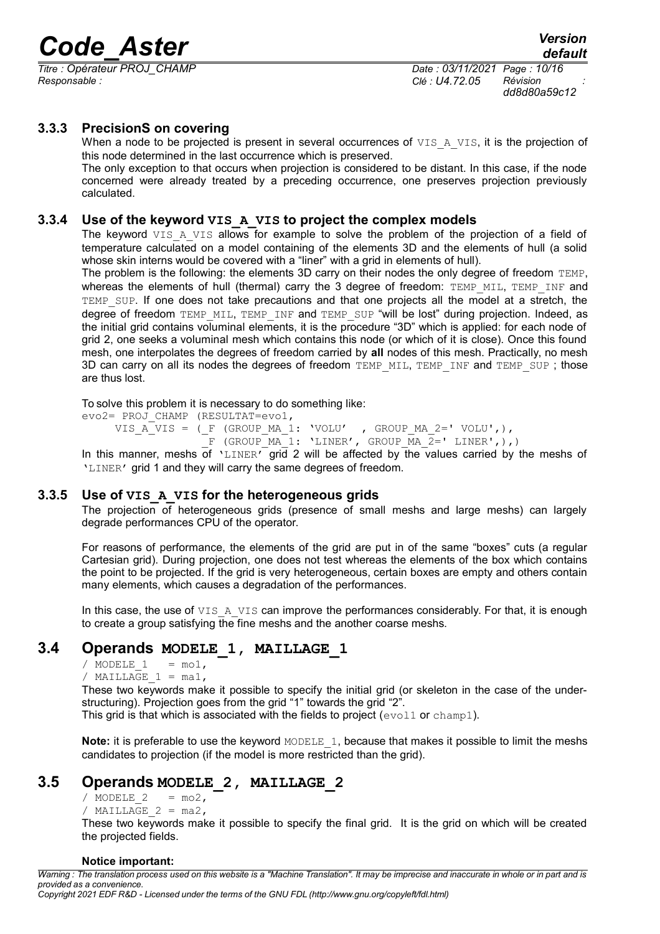*Titre : Opérateur PROJ\_CHAMP Date : 03/11/2021 Page : 10/16 Responsable : Clé : U4.72.05 Révision :*

*dd8d80a59c12*

## **3.3.3 PrecisionS on covering**

<span id="page-9-4"></span>When a node to be projected is present in several occurrences of  $VIS$  A  $VIS$ , it is the projection of this node determined in the last occurrence which is preserved.

The only exception to that occurs when projection is considered to be distant. In this case, if the node concerned were already treated by a preceding occurrence, one preserves projection previously calculated.

#### **3.3.4 Use of the keyword VIS\_A\_VIS to project the complex models**

<span id="page-9-3"></span>The keyword VIS A VIS allows for example to solve the problem of the projection of a field of temperature calculated on a model containing of the elements 3D and the elements of hull (a solid whose skin interns would be covered with a "liner" with a grid in elements of hull).

The problem is the following: the elements 3D carry on their nodes the only degree of freedom TEMP, whereas the elements of hull (thermal) carry the 3 degree of freedom:  $TEMP$  MIL,  $TEMP$  INF and TEMP SUP. If one does not take precautions and that one projects all the model at a stretch, the degree of freedom TEMP\_MIL, TEMP\_INF and TEMP\_SUP "will be lost" during projection. Indeed, as the initial grid contains voluminal elements, it is the procedure "3D" which is applied: for each node of grid 2, one seeks a voluminal mesh which contains this node (or which of it is close). Once this found mesh, one interpolates the degrees of freedom carried by **all** nodes of this mesh. Practically, no mesh 3D can carry on all its nodes the degrees of freedom TEMP\_MIL, TEMP\_INF and TEMP\_SUP; those are thus lost.

To solve this problem it is necessary to do something like:

evo2= PROJ\_CHAMP (RESULTAT=evo1, VIS  $A^T VIS = (F (GROUP MA 1: 'VOLU' , GROUP MA 2=' VOLU',)),$  $\overline{F}$  (GROUP MA 1: 'LINER', GROUP MA  $\overline{2}=$ ' LINER',),)

In this manner, meshs of 'LINER' grid 2 will be affected by the values carried by the meshs of 'LINER' grid 1 and they will carry the same degrees of freedom.

#### **3.3.5 Use of VIS\_A\_VIS for the heterogeneous grids**

<span id="page-9-2"></span>The projection of heterogeneous grids (presence of small meshs and large meshs) can largely degrade performances CPU of the operator.

For reasons of performance, the elements of the grid are put in of the same "boxes" cuts (a regular Cartesian grid). During projection, one does not test whereas the elements of the box which contains the point to be projected. If the grid is very heterogeneous, certain boxes are empty and others contain many elements, which causes a degradation of the performances.

In this case, the use of  $VIS$  A  $VIS$  can improve the performances considerably. For that, it is enough to create a group satisfying the fine meshs and the another coarse meshs.

# **3.4 Operands MODELE\_1, MAILLAGE\_1**

<span id="page-9-1"></span>/ MODELE  $1 = \text{mol}$ ,

/ MAILLAGE  $1 = ma1$ ,

These two keywords make it possible to specify the initial grid (or skeleton in the case of the understructuring). Projection goes from the grid "1" towards the grid "2".

This grid is that which is associated with the fields to project ( $evol1$  or  $champ1$ ).

**Note:** it is preferable to use the keyword MODELE 1, because that makes it possible to limit the meshs candidates to projection (if the model is more restricted than the grid).

# **3.5 Operands MODELE\_2, MAILLAGE\_2**

<span id="page-9-0"></span>/ MODELE  $2 = \text{mod}$ ,

/ MAILLAGE  $2 = ma2$ ,

These two keywords make it possible to specify the final grid. It is the grid on which will be created the projected fields.

#### **Notice important:**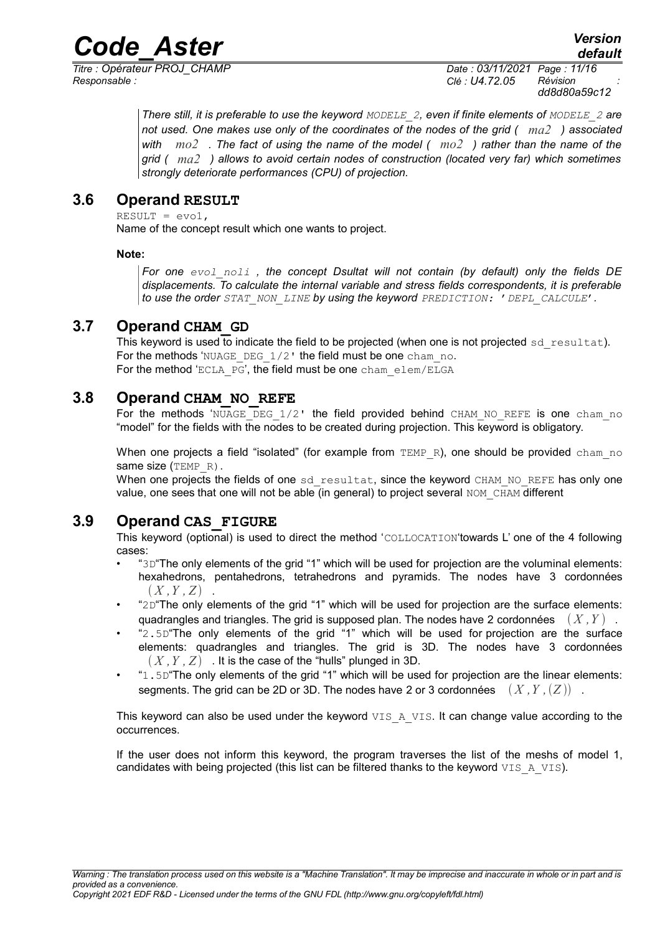*Titre : Opérateur PROJ\_CHAMP Date : 03/11/2021 Page : 11/16 Responsable : Clé : U4.72.05 Révision :*

*dd8d80a59c12*

*There still, it is preferable to use the keyword MODELE\_2, even if finite elements of MODELE\_2 are not used. One makes use only of the coordinates of the nodes of the grid ( ma2 ) associated with mo2 . The fact of using the name of the model ( mo2 ) rather than the name of the grid ( ma2 ) allows to avoid certain nodes of construction (located very far) which sometimes strongly deteriorate performances (CPU) of projection.*

# **3.6 Operand RESULT**

<span id="page-10-3"></span> $RESULT = evo1,$ 

Name of the concept result which one wants to project.

## **Note:**

*For one evol\_noli , the concept Dsultat will not contain (by default) only the fields DE displacements. To calculate the internal variable and stress fields correspondents, it is preferable to use the order STAT\_NON\_LINE by using the keyword PREDICTION:* '*DEPL\_CALCULE*'*.*

# **3.7 Operand CHAM\_GD**

<span id="page-10-2"></span>This keyword is used to indicate the field to be projected (when one is not projected  $sd$  resultat). For the methods 'NUAGE\_DEG\_1/2' the field must be one cham\_no. For the method 'ECLA\_PG', the field must be one cham\_elem/ELGA

# **3.8 Operand CHAM\_NO\_REFE**

<span id="page-10-1"></span>For the methods 'NUAGE DEG  $1/2$ ' the field provided behind CHAM NO REFE is one cham no "model" for the fields with the nodes to be created during projection. This keyword is obligatory.

When one projects a field "isolated" (for example from  $TEMP$  R), one should be provided cham no same size (TEMP\_R).

When one projects the fields of one sd resultat, since the keyword CHAM\_NO\_REFE has only one value, one sees that one will not be able (in general) to project several NOM CHAM different

# **3.9 Operand CAS\_FIGURE**

<span id="page-10-0"></span>This keyword (optional) is used to direct the method 'COLLOCATION'towards L' one of the 4 following cases:

- "3D"The only elements of the grid "1" which will be used for projection are the voluminal elements: hexahedrons, pentahedrons, tetrahedrons and pyramids. The nodes have 3 cordonnées  $(X, Y, Z)$ .
- "2D"The only elements of the grid "1" which will be used for projection are the surface elements: quadrangles and triangles. The grid is supposed plan. The nodes have 2 cordonnées  $(X, Y)$ .
- "2.5D"The only elements of the grid "1" which will be used for projection are the surface elements: quadrangles and triangles. The grid is 3D. The nodes have 3 cordonnées  $(X, Y, Z)$  . It is the case of the "hulls" plunged in 3D.
- "1.5D"The only elements of the grid "1" which will be used for projection are the linear elements: segments. The grid can be 2D or 3D. The nodes have 2 or 3 cordonnées  $(X, Y, (Z))$ .

This keyword can also be used under the keyword  $VISAA$  VIS. It can change value according to the occurrences.

If the user does not inform this keyword, the program traverses the list of the meshs of model 1, candidates with being projected (this list can be filtered thanks to the keyword  $VISA_VIS$ ).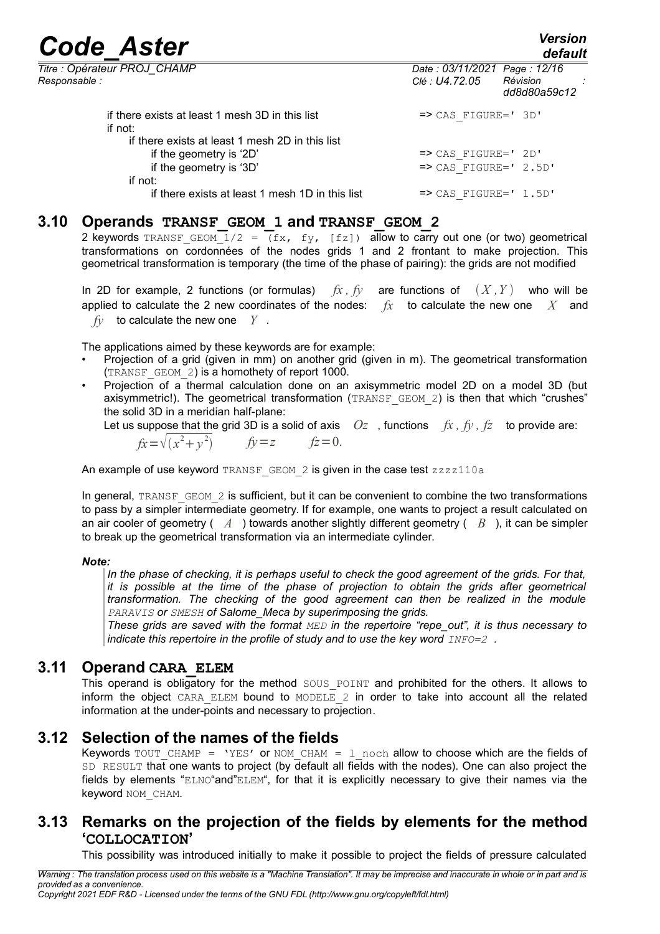*default*

| Titre : Opérateur PROJ CHAMP<br>Responsable :              | Date: 03/11/2021 Page: 12/16<br>Clé : U4.72.05 | Révision<br>dd8d80a59c12 |
|------------------------------------------------------------|------------------------------------------------|--------------------------|
| if there exists at least 1 mesh 3D in this list<br>if not: | $\Rightarrow$ CAS FIGURE=' 3D'                 |                          |
| if there exists at least 1 mesh 2D in this list            |                                                |                          |
| if the geometry is '2D'                                    | $\Rightarrow$ CAS FIGURE=' 2D'                 |                          |
| if the geometry is '3D'                                    | $\Rightarrow$ CAS FIGURE=' 2.5D'               |                          |
| if not:                                                    |                                                |                          |
| if there exists at least 1 mesh 1D in this list            | $\Rightarrow$ CAS FIGURE=' 1.5D'               |                          |

# **3.10 Operands TRANSF\_GEOM\_1 and TRANSF\_GEOM\_2**

<span id="page-11-3"></span>2 keywords TRANSF GEOM  $\overline{1/2} = \overline{f(x, fy, [fz])}$  allow to carry out one (or two) geometrical transformations on cordonnées of the nodes grids 1 and 2 frontant to make projection. This geometrical transformation is temporary (the time of the phase of pairing): the grids are not modified

In 2D for example, 2 functions (or formulas)  $f_x$ ,  $f_y$  are functions of  $(X, Y)$  who will be applied to calculate the 2 new coordinates of the nodes: *fx* to calculate the new one *X* and *fy* to calculate the new one *Y* .

The applications aimed by these keywords are for example:

- Projection of a grid (given in mm) on another grid (given in m). The geometrical transformation (TRANSF\_GEOM\_2) is a homothety of report 1000.
- Projection of a thermal calculation done on an axisymmetric model 2D on a model 3D (but axisymmetric!). The geometrical transformation  $(TRANSFGEM 2)$  is then that which "crushes" the solid 3D in a meridian half-plane:

Let us suppose that the grid 3D is a solid of axis  $Oz$ , functions  $fx$ ,  $fy$ ,  $fz$  to provide are:  $f_x = \sqrt{(x^2 + y^2)}$   $f_y = z$   $f_z = 0$ .

An example of use keyword TRANSF GEOM  $2$  is given in the case test  $zzzz110a$ 

In general, TRANSF\_GEOM\_2 is sufficient, but it can be convenient to combine the two transformations to pass by a simpler intermediate geometry. If for example, one wants to project a result calculated on an air cooler of geometry ( *A* ) towards another slightly different geometry ( *B* ), it can be simpler to break up the geometrical transformation via an intermediate cylinder.

## *Note:*

*In the phase of checking, it is perhaps useful to check the good agreement of the grids. For that, it is possible at the time of the phase of projection to obtain the grids after geometrical transformation. The checking of the good agreement can then be realized in the module PARAVIS or SMESH of Salome\_Meca by superimposing the grids.*

*These grids are saved with the format MED in the repertoire "repe\_out", it is thus necessary to indicate this repertoire in the profile of study and to use the key word*  $INFO=2$ *.* 

# **3.11 Operand CARA\_ELEM**

<span id="page-11-2"></span>This operand is obligatory for the method SOUS POINT and prohibited for the others. It allows to inform the object CARA ELEM bound to MODELE 2 in order to take into account all the related information at the under-points and necessary to projection.

# **3.12 Selection of the names of the fields**

<span id="page-11-1"></span>Keywords TOUT\_CHAMP = 'YES' or NOM\_CHAM = 1 noch allow to choose which are the fields of SD RESULT that one wants to project (by default all fields with the nodes). One can also project the fields by elements "ELNO"and"ELEM", for that it is explicitly necessary to give their names via the keyword NOM CHAM.

# **3.13 Remarks on the projection of the fields by elements for the method 'COLLOCATION'**

<span id="page-11-0"></span>This possibility was introduced initially to make it possible to project the fields of pressure calculated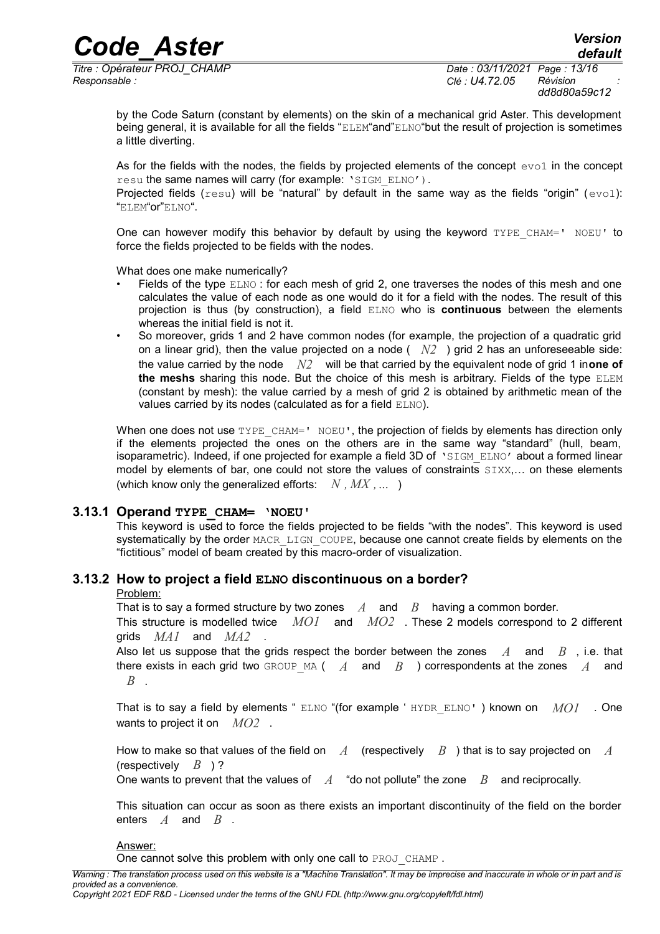# *Code\_Aster Version*<br>*Code\_Aster CHAMP CHAMP Date* : 03/11/2021 Page : 13/16

*Titre : Opérateur PROJ\_CHAMP Date : 03/11/2021 Page : 13/16 Responsable : Clé : U4.72.05 Révision :*

*dd8d80a59c12*

*default*

by the Code Saturn (constant by elements) on the skin of a mechanical grid Aster. This development being general, it is available for all the fields "ELEM"and"ELNO"but the result of projection is sometimes a little diverting.

As for the fields with the nodes, the fields by projected elements of the concept  $evol$  in the concept resu the same names will carry (for example: 'SIGM\_ELNO').

Projected fields ( $resu$ ) will be "natural" by default in the same way as the fields "origin" ( $evo1$ ): "ELEM"or"ELNO".

One can however modify this behavior by default by using the keyword TYPE CHAM=' NOEU' to force the fields projected to be fields with the nodes.

What does one make numerically?

- Fields of the type ELNO: for each mesh of grid 2, one traverses the nodes of this mesh and one calculates the value of each node as one would do it for a field with the nodes. The result of this projection is thus (by construction), a field ELNO who is **continuous** between the elements whereas the initial field is not it.
- So moreover, grids 1 and 2 have common nodes (for example, the projection of a quadratic grid on a linear grid), then the value projected on a node  $(N2)$  grid 2 has an unforeseeable side: the value carried by the node *N2* will be that carried by the equivalent node of grid 1 in**one of the meshs** sharing this node. But the choice of this mesh is arbitrary. Fields of the type ELEM (constant by mesh): the value carried by a mesh of grid 2 is obtained by arithmetic mean of the values carried by its nodes (calculated as for a field ELNO).

When one does not use TYPE CHAM=' NOEU', the projection of fields by elements has direction only if the elements projected the ones on the others are in the same way "standard" (hull, beam, isoparametric). Indeed, if one projected for example a field 3D of 'SIGM\_ELNO' about a formed linear model by elements of bar, one could not store the values of constraints  $SIXX,...$  on these elements (which know only the generalized efforts:  $N$ ,  $MX$ , ... )

## **3.13.1 Operand TYPE\_CHAM= 'NOEU'**

<span id="page-12-1"></span>This keyword is used to force the fields projected to be fields "with the nodes". This keyword is used systematically by the order MACR LIGN COUPE, because one cannot create fields by elements on the "fictitious" model of beam created by this macro-order of visualization.

## **3.13.2 How to project a field ELNO discontinuous on a border?**

#### <span id="page-12-0"></span>Problem:

That is to say a formed structure by two zones *A* and *B* having a common border. This structure is modelled twice *MO1* and *MO2* . These 2 models correspond to 2 different grids *MA1* and *MA2* .

Also let us suppose that the grids respect the border between the zones *A* and *B* , i.e. that there exists in each grid two GROUP\_MA ( *A* and *B* ) correspondents at the zones *A* and *B* .

That is to say a field by elements " ELNO "(for example ' HYDR\_ELNO' ) known on *MO1* . One wants to project it on *MO2* .

How to make so that values of the field on *A* (respectively *B* ) that is to say projected on *A* (respectively *B* ) ?

One wants to prevent that the values of *A* "do not pollute" the zone *B* and reciprocally.

This situation can occur as soon as there exists an important discontinuity of the field on the border enters *A* and *B* .

#### Answer:

One cannot solve this problem with only one call to PROJ CHAMP.

*Copyright 2021 EDF R&D - Licensed under the terms of the GNU FDL (http://www.gnu.org/copyleft/fdl.html)*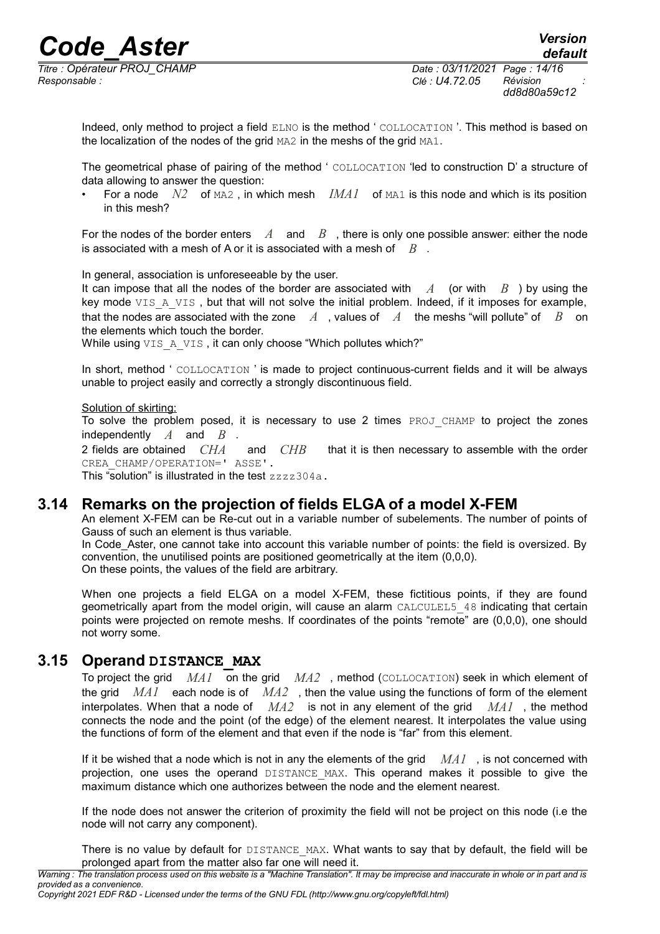*Titre : Opérateur PROJ\_CHAMP Date : 03/11/2021 Page : 14/16 Responsable : Clé : U4.72.05 Révision :*

*default*

Indeed, only method to project a field ELNO is the method ' COLLOCATION '. This method is based on the localization of the nodes of the grid MA2 in the meshs of the grid MA1.

The geometrical phase of pairing of the method ' COLLOCATION 'led to construction D' a structure of data allowing to answer the question:

• For a node  $N2$  of  $M2$ , in which mesh  $IMAI$  of  $MAI$  is this node and which is its position in this mesh?

For the nodes of the border enters  $A$  and  $B$ , there is only one possible answer: either the node is associated with a mesh of A or it is associated with a mesh of *B* .

In general, association is unforeseeable by the user.

It can impose that all the nodes of the border are associated with  $\overline{A}$  (or with  $\overline{B}$ ) by using the key mode VIS A VIS, but that will not solve the initial problem. Indeed, if it imposes for example, that the nodes are associated with the zone *A* , values of *A* the meshs "will pollute" of *B* on the elements which touch the border.

While using VIS A VIS, it can only choose "Which pollutes which?"

In short, method ' COLLOCATION ' is made to project continuous-current fields and it will be always unable to project easily and correctly a strongly discontinuous field.

Solution of skirting:

To solve the problem posed, it is necessary to use 2 times PROJ CHAMP to project the zones

independently *A* and *B* . and *CHB* that it is then necessary to assemble with the order CREA\_CHAMP/OPERATION=' ASSE'.

This "solution" is illustrated in the test zzzz304a.

# **3.14 Remarks on the projection of fields ELGA of a model X-FEM**

<span id="page-13-1"></span>An element X-FEM can be Re-cut out in a variable number of subelements. The number of points of Gauss of such an element is thus variable.

In Code Aster, one cannot take into account this variable number of points: the field is oversized. By convention, the unutilised points are positioned geometrically at the item (0,0,0). On these points, the values of the field are arbitrary.

When one projects a field ELGA on a model X-FEM, these fictitious points, if they are found geometrically apart from the model origin, will cause an alarm CALCULEL5\_48 indicating that certain points were projected on remote meshs. If coordinates of the points "remote" are (0,0,0), one should not worry some.

# **3.15 Operand DISTANCE\_MAX**

<span id="page-13-0"></span>To project the grid *MA1* on the grid *MA2* , method (COLLOCATION) seek in which element of the grid *MA1* each node is of *MA2* , then the value using the functions of form of the element interpolates. When that a node of *MA2* is not in any element of the grid *MA1* , the method connects the node and the point (of the edge) of the element nearest. It interpolates the value using the functions of form of the element and that even if the node is "far" from this element.

If it be wished that a node which is not in any the elements of the grid *MA1* , is not concerned with projection, one uses the operand DISTANCE\_MAX. This operand makes it possible to give the maximum distance which one authorizes between the node and the element nearest.

If the node does not answer the criterion of proximity the field will not be project on this node (i.e the node will not carry any component).

There is no value by default for DISTANCE MAX. What wants to say that by default, the field will be prolonged apart from the matter also far one will need it.

*Warning : The translation process used on this website is a "Machine Translation". It may be imprecise and inaccurate in whole or in part and is provided as a convenience.*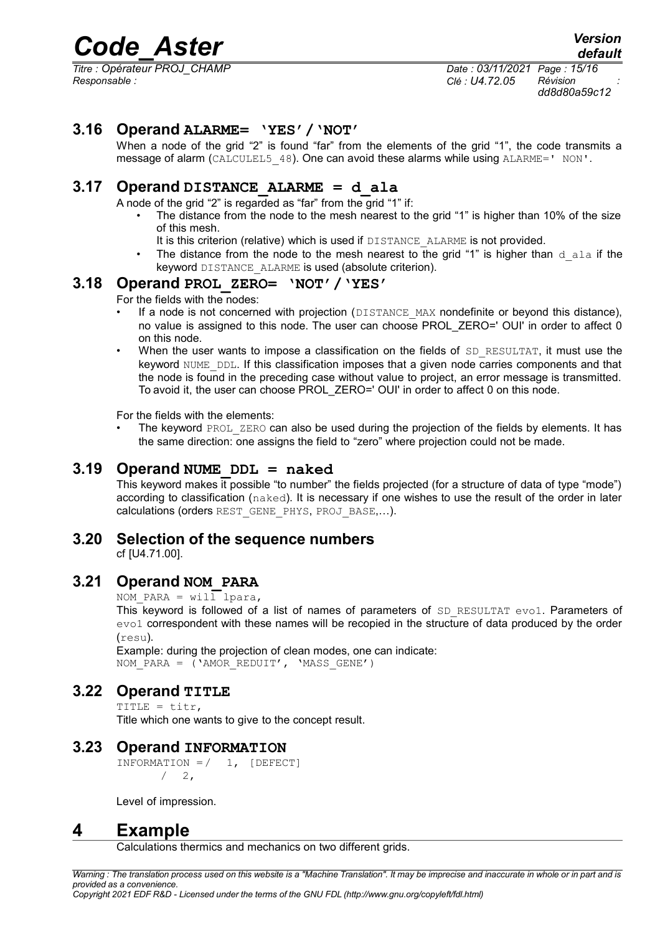*Titre : Opérateur PROJ\_CHAMP Date : 03/11/2021 Page : 15/16 Responsable : Clé : U4.72.05 Révision :*

*dd8d80a59c12*

# **3.16 Operand ALARME= 'YES'/'NOT'**

<span id="page-14-3"></span>When a node of the grid "2" is found "far" from the elements of the grid "1", the code transmits a message of alarm (CALCULEL5 48). One can avoid these alarms while using ALARME=' NON'.

# **3.17 Operand DISTANCE\_ALARME = d\_ala**

<span id="page-14-2"></span>A node of the grid "2" is regarded as "far" from the grid "1" if:

- The distance from the node to the mesh nearest to the grid "1" is higher than 10% of the size of this mesh.
	- It is this criterion (relative) which is used if DISTANCE\_ALARME is not provided.
- The distance from the node to the mesh nearest to the grid "1" is higher than  $d$  ala if the keyword DISTANCE\_ALARME is used (absolute criterion).

#### **3.18 Operand PROL\_ZERO= 'NOT'/'YES'**

<span id="page-14-1"></span>For the fields with the nodes:

- If a node is not concerned with projection (DISTANCE\_MAX nondefinite or beyond this distance), no value is assigned to this node. The user can choose PROL\_ZERO=' OUI' in order to affect 0 on this node.
- When the user wants to impose a classification on the fields of  $SD$  RESULTAT, it must use the keyword NUME DDL. If this classification imposes that a given node carries components and that the node is found in the preceding case without value to project, an error message is transmitted. To avoid it, the user can choose PROL\_ZERO=' OUI' in order to affect 0 on this node.

For the fields with the elements:

The keyword PROL ZERO can also be used during the projection of the fields by elements. It has the same direction: one assigns the field to "zero" where projection could not be made.

# **3.19 Operand NUME\_DDL = naked**

<span id="page-14-0"></span>This keyword makes it possible "to number" the fields projected (for a structure of data of type "mode") according to classification (naked). It is necessary if one wishes to use the result of the order in later calculations (orders REST\_GENE\_PHYS, PROJ\_BASE,…).

# **3.20 Selection of the sequence numbers**

<span id="page-14-8"></span>cf [U4.71.00].

# **3.21 Operand NOM\_PARA**

<span id="page-14-7"></span>NOM PARA = will lpara,

This keyword is followed of a list of names of parameters of SD\_RESULTAT evo1. Parameters of evo1 correspondent with these names will be recopied in the structure of data produced by the order (resu).

Example: during the projection of clean modes, one can indicate: NOM\_PARA =  $(')$ AMOR\_REDUIT', 'MASS\_GENE')

# **3.22 Operand TITLE**

<span id="page-14-6"></span>TITLE =  $\textrm{titr}$ , Title which one wants to give to the concept result.

# **3.23 Operand INFORMATION**

<span id="page-14-5"></span>INFORMATION  $= / 1$ , [DEFECT]  $/2$ ,

Level of impression.

# **4 Example**

<span id="page-14-4"></span>Calculations thermics and mechanics on two different grids.

*Warning : The translation process used on this website is a "Machine Translation". It may be imprecise and inaccurate in whole or in part and is provided as a convenience. Copyright 2021 EDF R&D - Licensed under the terms of the GNU FDL (http://www.gnu.org/copyleft/fdl.html)*